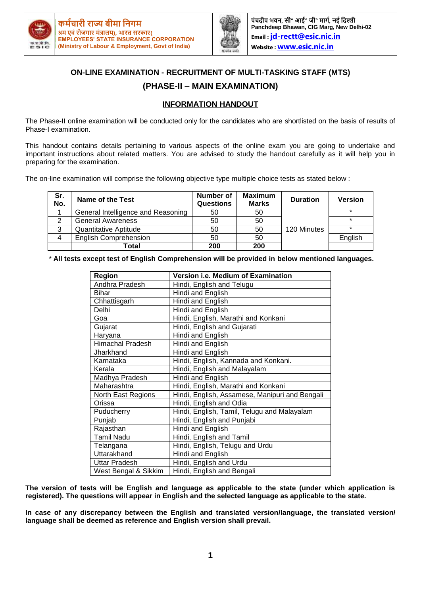



**पंचदीप भवि, सी॰ आई॰ जी॰ र्ागम, िई नदल्ली Panchdeep Bhawan, CIG Marg, New Delhi-02 Email : [jd-rectt@esic.nic.in](mailto:jd-rectt@esic.nic.in) Website : [www.esic.nic.in](http://www.esic.nic.in/)**

# **ON-LINE EXAMINATION - RECRUITMENT OF MULTI-TASKING STAFF (MTS) (PHASE-II – MAIN EXAMINATION)**

### **INFORMATION HANDOUT**

The Phase-II online examination will be conducted only for the candidates who are shortlisted on the basis of results of Phase-I examination.

This handout contains details pertaining to various aspects of the online exam you are going to undertake and important instructions about related matters. You are advised to study the handout carefully as it will help you in preparing for the examination.

The on-line examination will comprise the following objective type multiple choice tests as stated below :

| Sr.<br>No. | Name of the Test                   | Number of<br><b>Questions</b> | <b>Maximum</b><br><b>Marks</b> | <b>Duration</b> | <b>Version</b> |
|------------|------------------------------------|-------------------------------|--------------------------------|-----------------|----------------|
|            | General Intelligence and Reasoning | 50                            | 50                             |                 | $\star$        |
| 2          | <b>General Awareness</b>           | 50                            | 50                             |                 | $\star$        |
| 3          | Quantitative Aptitude              | 50                            | 50                             | 120 Minutes     | $\star$        |
| 4          | <b>English Comprehension</b>       | 50                            | 50                             |                 | English        |
|            | Total                              | 200                           | 200                            |                 |                |

\* **All tests except test of English Comprehension will be provided in below mentioned languages.**

| Region                  | Version i.e. Medium of Examination             |  |  |  |
|-------------------------|------------------------------------------------|--|--|--|
| Andhra Pradesh          | Hindi, English and Telugu                      |  |  |  |
| Bihar                   | Hindi and English                              |  |  |  |
| Chhattisgarh            | Hindi and English                              |  |  |  |
| Delhi                   | Hindi and English                              |  |  |  |
| Goa                     | Hindi, English, Marathi and Konkani            |  |  |  |
| Gujarat                 | Hindi, English and Gujarati                    |  |  |  |
| Haryana                 | Hindi and English                              |  |  |  |
| <b>Himachal Pradesh</b> | Hindi and English                              |  |  |  |
| Jharkhand               | Hindi and English                              |  |  |  |
| Karnataka               | Hindi, English, Kannada and Konkani.           |  |  |  |
| Kerala                  | Hindi, English and Malayalam                   |  |  |  |
| Madhya Pradesh          | Hindi and English                              |  |  |  |
| Maharashtra             | Hindi, English, Marathi and Konkani            |  |  |  |
| North East Regions      | Hindi, English, Assamese, Manipuri and Bengali |  |  |  |
| Orissa                  | Hindi, English and Odia                        |  |  |  |
| Puducherry              | Hindi, English, Tamil, Telugu and Malayalam    |  |  |  |
| Punjab                  | Hindi, English and Punjabi                     |  |  |  |
| Rajasthan               | Hindi and English                              |  |  |  |
| <b>Tamil Nadu</b>       | Hindi, English and Tamil                       |  |  |  |
| Telangana               | Hindi, English, Telugu and Urdu                |  |  |  |
| Uttarakhand             | Hindi and English                              |  |  |  |
| Uttar Pradesh           | Hindi, English and Urdu                        |  |  |  |
| West Bengal & Sikkim    | Hindi, English and Bengali                     |  |  |  |

**The version of tests will be English and language as applicable to the state (under which application is registered). The questions will appear in English and the selected language as applicable to the state.**

**In case of any discrepancy between the English and translated version/language, the translated version/ language shall be deemed as reference and English version shall prevail.**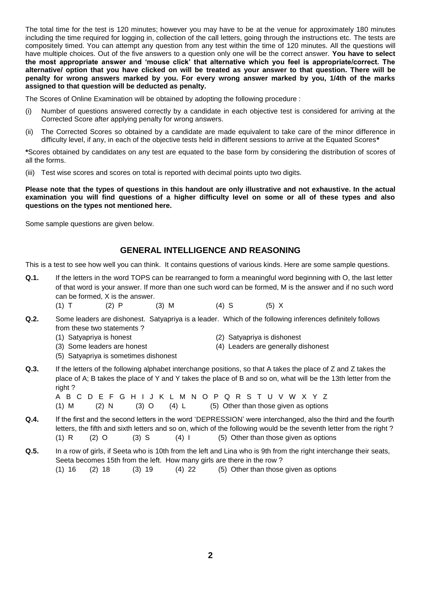The total time for the test is 120 minutes; however you may have to be at the venue for approximately 180 minutes including the time required for logging in, collection of the call letters, going through the instructions etc. The tests are compositely timed. You can attempt any question from any test within the time of 120 minutes. All the questions will have multiple choices. Out of the five answers to a question only one will be the correct answer. **You have to select the most appropriate answer and 'mouse click' that alternative which you feel is appropriate/correct. The alternative/ option that you have clicked on will be treated as your answer to that question. There will be penalty for wrong answers marked by you. For every wrong answer marked by you, 1/4th of the marks assigned to that question will be deducted as penalty.**

The Scores of Online Examination will be obtained by adopting the following procedure :

- (i) Number of questions answered correctly by a candidate in each objective test is considered for arriving at the Corrected Score after applying penalty for wrong answers.
- (ii) The Corrected Scores so obtained by a candidate are made equivalent to take care of the minor difference in difficulty level, if any, in each of the objective tests held in different sessions to arrive at the Equated Scores**\***

**\***Scores obtained by candidates on any test are equated to the base form by considering the distribution of scores of all the forms.

(iii) Test wise scores and scores on total is reported with decimal points upto two digits.

**Please note that the types of questions in this handout are only illustrative and not exhaustive. In the actual examination you will find questions of a higher difficulty level on some or all of these types and also questions on the types not mentioned here.**

Some sample questions are given below.

### **GENERAL INTELLIGENCE AND REASONING**

This is a test to see how well you can think. It contains questions of various kinds. Here are some sample questions.

- **Q.1.** If the letters in the word TOPS can be rearranged to form a meaningful word beginning with O, the last letter of that word is your answer. If more than one such word can be formed, M is the answer and if no such word can be formed, X is the answer.
	- (1) T (2) P (3) M (4) S (5) X
- **Q.2.** Some leaders are dishonest. Satyapriya is a leader. Which of the following inferences definitely follows from these two statements ?
	- (1) Satyapriya is honest (2) Satyapriya is dishonest
		-
	-
	- (3) Some leaders are honest (4) Leaders are generally dishonest
	- (5) Satyapriya is sometimes dishonest
- **Q.3.** If the letters of the following alphabet interchange positions, so that A takes the place of Z and Z takes the place of A; B takes the place of Y and Y takes the place of B and so on, what will be the 13th letter from the right ?

A B C D E F G H I J K L M N O P Q R S T U V W X Y Z (1) M (2) N (3) O (4) L (5) Other than those given as options

- **Q.4.** If the first and the second letters in the word 'DEPRESSION' were interchanged, also the third and the fourth letters, the fifth and sixth letters and so on, which of the following would be the seventh letter from the right ? (1) R  $(2)$  O  $(3)$  S  $(4)$  I  $(5)$  Other than those given as options
- **Q.5.** In a row of girls, if Seeta who is 10th from the left and Lina who is 9th from the right interchange their seats, Seeta becomes 15th from the left. How many girls are there in the row ? (1)  $16$  (2)  $18$  (3)  $19$  (4)  $22$  (5) Other than those given as options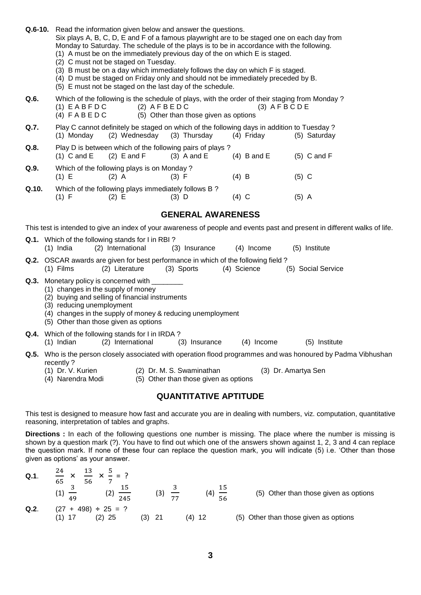**Q.6-10.** Read the information given below and answer the questions.

Six plays A, B, C, D, E and F of a famous playwright are to be staged one on each day from Monday to Saturday. The schedule of the plays is to be in accordance with the following.

- (1) A must be on the immediately previous day of the on which E is staged.
- (2) C must not be staged on Tuesday.
- (3) B must be on a day which immediately follows the day on which F is staged.
- (4) D must be staged on Friday only and should not be immediately preceded by B.
- (5) E must not be staged on the last day of the schedule.

**Q.6.** Which of the following is the schedule of plays, with the order of their staging from Monday ?<br>(1) E A B F D C (2) A F B E D C (3) A F B C D E  $(1)$  E A B F D C  $(2)$  A F B E D C (4)  $F \wedge B \wedge D$  C (5) Other than those given as options

- **Q.7.** Play C cannot definitely be staged on which of the following days in addition to Tuesday ?<br>(1) Monday (2) Wednesday (3) Thursday (4) Friday (5) Saturday (1) Monday (2) Wednesday (3) Thursday (4) Friday (5) Saturday
- **Q.8.** Play D is between which of the following pairs of plays ? (1) C and E  $(2)$  E and F  $(3)$  A and E  $(4)$  B and E  $(5)$  C and F **Q.9.** Which of the following plays is on Monday ?
- (1) E (2) A (3) F (4) B (5) C **Q.10.** Which of the following plays immediately follows B ? (1) F (2) E (3) D (4) C (5) A

## **GENERAL AWARENESS**

This test is intended to give an index of your awareness of people and events past and present in different walks of life.

- **Q.1.** Which of the following stands for I in RBI ? (1) India (2) International (3) Insurance (4) Income (5) Institute
- **Q.2.** OSCAR awards are given for best performance in which of the following field ?
- (1) Films (2) Literature (3) Sports (4) Science (5) Social Service

### **Q.3.** Monetary policy is concerned with

- (1) changes in the supply of money
- (2) buying and selling of financial instruments
- (3) reducing unemployment
- (4) changes in the supply of money & reducing unemployment
- (5) Other than those given as options
- **Q.4.** Which of the following stands for I in IRDA ?<br>(1) Indian (2) International (3) Insurance (1) Indian (2) International (3) Insurance (4) Income (5) Institute
- **Q.5.** Who is the person closely associated with operation flood programmes and was honoured by Padma Vibhushan recently ?
	- (1) Dr. V. Kurien (2) Dr. M. S. Swaminathan (3) Dr. Amartya Sen
		-
	-
	- (4) Narendra Modi (5) Other than those given as options

## **QUANTITATIVE APTITUDE**

This test is designed to measure how fast and accurate you are in dealing with numbers, viz. computation, quantitative reasoning, interpretation of tables and graphs.

**Directions :** In each of the following questions one number is missing. The place where the number is missing is shown by a question mark (?). You have to find out which one of the answers shown against 1, 2, 3 and 4 can replace the question mark. If none of these four can replace the question mark, you will indicate (5) i.e. 'Other than those given as options' as your answer.

| $Q.1$ . | $\frac{24}{\pi}$ x<br>65<br>56 | $\frac{13}{12}$ x $\frac{5}{1}$ = 2 |             |    |           |                                       |
|---------|--------------------------------|-------------------------------------|-------------|----|-----------|---------------------------------------|
|         | 49                             | 245                                 | (3)         | 77 | (4)<br>56 | (5) Other than those given as options |
| Q.2.    | $(27 + 498) \div 25 = ?$       | $(2)$ 25                            | (3)<br>- 21 |    | (4) 12    | (5) Other than those given as options |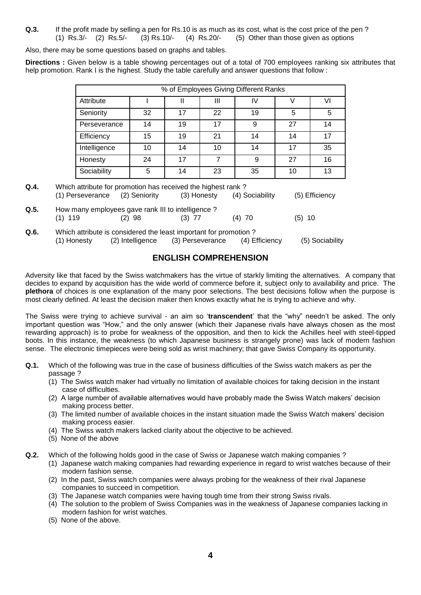**Q.3.** If the profit made by selling a pen for Rs.10 is as much as its cost, what is the cost price of the pen ? (1) Rs.3/- (2) Rs.5/- (3) Rs.10/- (4) Rs.20/- (5) Other than those given as options

Also, there may be some questions based on graphs and tables.

**Directions :** Given below is a table showing percentages out of a total of 700 employees ranking six attributes that help promotion. Rank I is the highest. Study the table carefully and answer questions that follow :

| % of Employees Giving Different Ranks |    |    |    |    |    |  |  |  |
|---------------------------------------|----|----|----|----|----|--|--|--|
|                                       |    | Ш  | IV |    | VI |  |  |  |
| 32                                    | 17 | 22 | 19 | 5  | 5  |  |  |  |
| 14                                    | 19 | 17 | 9  | 27 | 14 |  |  |  |
| 15                                    | 19 | 21 | 14 | 14 | 17 |  |  |  |
| 10                                    | 14 | 10 | 14 | 17 | 35 |  |  |  |
| 24                                    | 17 |    | 9  | 27 | 16 |  |  |  |
| 5                                     | 14 | 23 | 35 | 10 | 13 |  |  |  |
|                                       |    |    |    |    |    |  |  |  |

- **Q.4.** Which attribute for promotion has received the highest rank ? (1) Perseverance (2) Seniority (3) Honesty (4) Sociability (5) Efficiency
- **Q.5.** How many employees gave rank III to intelligence ? (1) 119 (2) 98 (3) 77 (4) 70 (5) 10
- **Q.6.** Which attribute is considered the least important for promotion ? (1) Honesty (2) Intelligence (3) Perseverance (4) Efficiency (5) Sociability

## **ENGLISH COMPREHENSION**

Adversity like that faced by the Swiss watchmakers has the virtue of starkly limiting the alternatives. A company that decides to expand by acquisition has the wide world of commerce before it, subject only to availability and price. The **plethora** of choices is one explanation of the many poor selections. The best decisions follow when the purpose is most clearly defined. At least the decision maker then knows exactly what he is trying to achieve and why.

The Swiss were trying to achieve survival - an aim so '**transcendent**' that the "why" needn't be asked. The only important question was "How," and the only answer (which their Japanese rivals have always chosen as the most rewarding approach) is to probe for weakness of the opposition, and then to kick the Achilles heel with steel-tipped boots. In this instance, the weakness (to which Japanese business is strangely prone) was lack of modern fashion sense. The electronic timepieces were being sold as wrist machinery; that gave Swiss Company its opportunity.

- **Q.1.** Which of the following was true in the case of business difficulties of the Swiss watch makers as per the passage ?
	- (1) The Swiss watch maker had virtually no limitation of available choices for taking decision in the instant case of difficulties.
	- (2) A large number of available alternatives would have probably made the Swiss Watch makers' decision making process better.
	- (3) The limited number of available choices in the instant situation made the Swiss Watch makers' decision making process easier.
	- (4) The Swiss watch makers lacked clarity about the objective to be achieved.
	- (5) None of the above
- **Q.2.** Which of the following holds good in the case of Swiss or Japanese watch making companies ?
	- (1) Japanese watch making companies had rewarding experience in regard to wrist watches because of their modern fashion sense.
	- (2) In the past, Swiss watch companies were always probing for the weakness of their rival Japanese companies to succeed in competition.
	- (3) The Japanese watch companies were having tough time from their strong Swiss rivals.
	- (4) The solution to the problem of Swiss Companies was in the weakness of Japanese companies lacking in modern fashion for wrist watches.
	- (5) None of the above.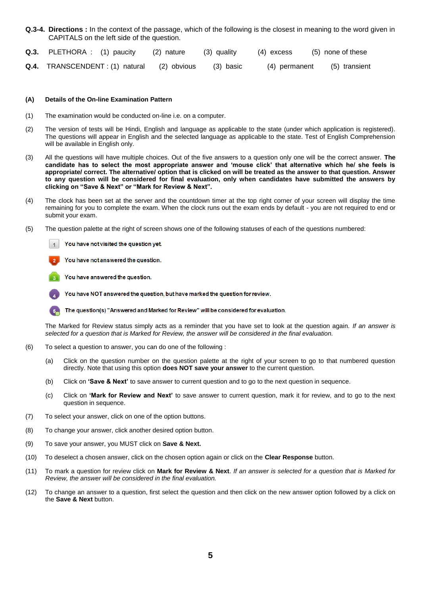- **Q.3-4. Directions :** In the context of the passage, which of the following is the closest in meaning to the word given in CAPITALS on the left side of the question.
- **Q.3.** PLETHORA : (1) paucity (2) nature (3) quality (4) excess (5) none of these
- **Q.4.** TRANSCENDENT : (1) natural (2) obvious (3) basic (4) permanent (5) transient

#### **(A) Details of the On-line Examination Pattern**

- (1) The examination would be conducted on-line i.e. on a computer.
- (2) The version of tests will be Hindi, English and language as applicable to the state (under which application is registered). The questions will appear in English and the selected language as applicable to the state. Test of English Comprehension will be available in English only.
- (3) All the questions will have multiple choices. Out of the five answers to a question only one will be the correct answer. **The candidate has to select the most appropriate answer and 'mouse click' that alternative which he/ she feels is appropriate/ correct. The alternative/ option that is clicked on will be treated as the answer to that question. Answer to any question will be considered for final evaluation, only when candidates have submitted the answers by clicking on "Save & Next" or "Mark for Review & Next".**
- (4) The clock has been set at the server and the countdown timer at the top right corner of your screen will display the time remaining for you to complete the exam. When the clock runs out the exam ends by default - you are not required to end or submit your exam.
- (5) The question palette at the right of screen shows one of the following statuses of each of the questions numbered:



You have not answered the question.

You have answered the question.

You have NOT answered the question, but have marked the question for review.

The question(s) "Answered and Marked for Review" will be considered for evaluation.

The Marked for Review status simply acts as a reminder that you have set to look at the question again. *If an answer is selected for a question that is Marked for Review, the answer will be considered in the final evaluation.*

- (6) To select a question to answer, you can do one of the following :
	- (a) Click on the question number on the question palette at the right of your screen to go to that numbered question directly. Note that using this option **does NOT save your answer** to the current question.
	- (b) Click on **'Save & Next'** to save answer to current question and to go to the next question in sequence.
	- (c) Click on **'Mark for Review and Next'** to save answer to current question, mark it for review, and to go to the next question in sequence.
- (7) To select your answer, click on one of the option buttons.
- (8) To change your answer, click another desired option button.
- (9) To save your answer, you MUST click on **Save & Next.**
- (10) To deselect a chosen answer, click on the chosen option again or click on the **Clear Response** button.
- (11) To mark a question for review click on **Mark for Review & Next**. *If an answer is selected for a question that is Marked for Review, the answer will be considered in the final evaluation.*
- (12) To change an answer to a question, first select the question and then click on the new answer option followed by a click on the **Save & Next** button.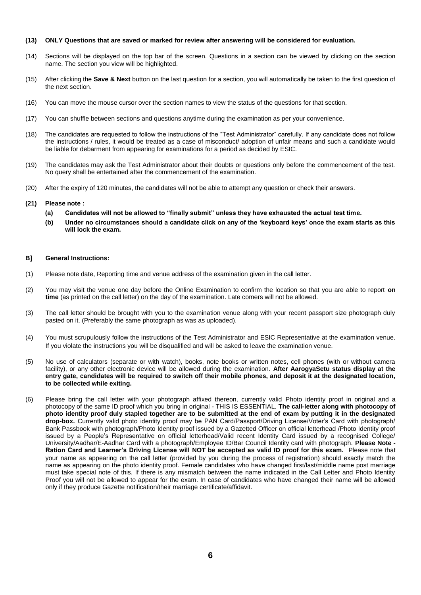#### **(13) ONLY Questions that are saved or marked for review after answering will be considered for evaluation.**

- (14) Sections will be displayed on the top bar of the screen. Questions in a section can be viewed by clicking on the section name. The section you view will be highlighted.
- (15) After clicking the **Save & Next** button on the last question for a section, you will automatically be taken to the first question of the next section.
- (16) You can move the mouse cursor over the section names to view the status of the questions for that section.
- (17) You can shuffle between sections and questions anytime during the examination as per your convenience.
- (18) The candidates are requested to follow the instructions of the "Test Administrator" carefully. If any candidate does not follow the instructions / rules, it would be treated as a case of misconduct/ adoption of unfair means and such a candidate would be liable for debarment from appearing for examinations for a period as decided by ESIC.
- (19) The candidates may ask the Test Administrator about their doubts or questions only before the commencement of the test. No query shall be entertained after the commencement of the examination.
- (20) After the expiry of 120 minutes, the candidates will not be able to attempt any question or check their answers.

#### **(21) Please note :**

- **(a) Candidates will not be allowed to "finally submit" unless they have exhausted the actual test time.**
- **(b) Under no circumstances should a candidate click on any of the 'keyboard keys' once the exam starts as this will lock the exam.**

#### **B] General Instructions:**

- (1) Please note date, Reporting time and venue address of the examination given in the call letter.
- (2) You may visit the venue one day before the Online Examination to confirm the location so that you are able to report **on time** (as printed on the call letter) on the day of the examination. Late comers will not be allowed.
- (3) The call letter should be brought with you to the examination venue along with your recent passport size photograph duly pasted on it. (Preferably the same photograph as was as uploaded).
- (4) You must scrupulously follow the instructions of the Test Administrator and ESIC Representative at the examination venue. If you violate the instructions you will be disqualified and will be asked to leave the examination venue.
- (5) No use of calculators (separate or with watch), books, note books or written notes, cell phones (with or without camera facility), or any other electronic device will be allowed during the examination. **After AarogyaSetu status display at the entry gate, candidates will be required to switch off their mobile phones, and deposit it at the designated location, to be collected while exiting.**
- (6) Please bring the call letter with your photograph affixed thereon, currently valid Photo identity proof in original and a photocopy of the same ID proof which you bring in original - THIS IS ESSENTIAL. **The call-letter along with photocopy of photo identity proof duly stapled together are to be submitted at the end of exam by putting it in the designated drop-box.** Currently valid photo identity proof may be PAN Card/Passport/Driving License/Voter's Card with photograph/ Bank Passbook with photograph/Photo Identity proof issued by a Gazetted Officer on official letterhead /Photo Identity proof issued by a People's Representative on official letterhead/Valid recent Identity Card issued by a recognised College/ University/Aadhar/E-Aadhar Card with a photograph/Employee ID/Bar Council Identity card with photograph. **Please Note - Ration Card and Learner's Driving License will NOT be accepted as valid ID proof for this exam.** Please note that your name as appearing on the call letter (provided by you during the process of registration) should exactly match the name as appearing on the photo identity proof. Female candidates who have changed first/last/middle name post marriage must take special note of this. If there is any mismatch between the name indicated in the Call Letter and Photo Identity Proof you will not be allowed to appear for the exam. In case of candidates who have changed their name will be allowed only if they produce Gazette notification/their marriage certificate/affidavit.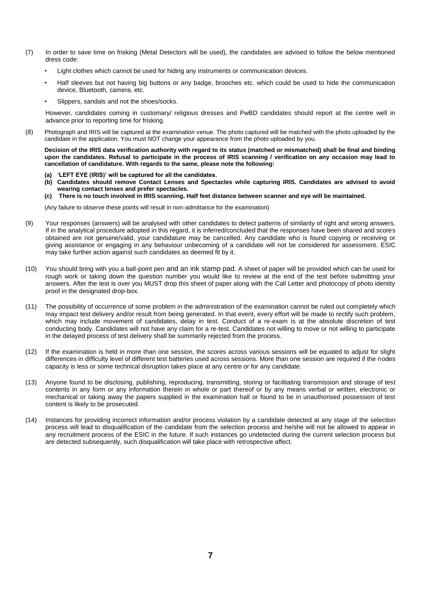- (7) In order to save time on frisking (Metal Detectors will be used), the candidates are advised to follow the below mentioned dress code:
	- Light clothes which cannot be used for hiding any instruments or communication devices.
	- Half sleeves but not having big buttons or any badge, brooches etc. which could be used to hide the communication device, Bluetooth, camera, etc.
	- Slippers, sandals and not the shoes/socks.

However, candidates coming in customary/ religious dresses and PwBD candidates should report at the centre well in advance prior to reporting time for frisking.

(8) Photograph and IRIS will be captured at the examination venue. The photo captured will be matched with the photo uploaded by the candidate in the application. You must NOT change your appearance from the photo uploaded by you.

 **Decision of the IRIS data verification authority with regard to its status (matched or mismatched) shall be final and binding upon the candidates. Refusal to participate in the process of IRIS scanning / verification on any occasion may lead to cancellation of candidature. With regards to the same, please note the following:**

- **(a) 'LEFT EYE (IRIS)' will be captured for all the candidates.**
- **(b) Candidates should remove Contact Lenses and Spectacles while capturing IRIS. Candidates are advised to avoid wearing contact lenses and prefer spectacles.**
- **(c) There is no touch involved in IRIS scanning. Half feet distance between scanner and eye will be maintained.**

(Any failure to observe these points will result in non-admittance for the examination)

- (9) Your responses (answers) will be analysed with other candidates to detect patterns of similarity of right and wrong answers. If in the analytical procedure adopted in this regard, it is inferred/concluded that the responses have been shared and scores obtained are not genuine/valid, your candidature may be cancelled. Any candidate who is found copying or receiving or giving assistance or engaging in any behaviour unbecoming of a candidate will not be considered for assessment. ESIC may take further action against such candidates as deemed fit by it.
- (10) You should bring with you a ball-point pen and an ink stamp pad. A sheet of paper will be provided which can be used for rough work or taking down the question number you would like to review at the end of the test before submitting your answers. After the test is over you MUST drop this sheet of paper along with the Call Letter and photocopy of photo identity proof in the designated drop-box.
- (11) The possibility of occurrence of some problem in the administration of the examination cannot be ruled out completely which may impact test delivery and/or result from being generated. In that event, every effort will be made to rectify such problem, which may include movement of candidates, delay in test. Conduct of a re-exam is at the absolute discretion of test conducting body. Candidates will not have any claim for a re-test. Candidates not willing to move or not willing to participate in the delayed process of test delivery shall be summarily rejected from the process.
- (12) If the examination is held in more than one session, the scores across various sessions will be equated to adjust for slight differences in difficulty level of different test batteries used across sessions. More than one session are required if the nodes capacity is less or some technical disruption takes place at any centre or for any candidate.
- (13) Anyone found to be disclosing, publishing, reproducing, transmitting, storing or facilitating transmission and storage of test contents in any form or any information therein in whole or part thereof or by any means verbal or written, electronic or mechanical or taking away the papers supplied in the examination hall or found to be in unauthorised possession of test content is likely to be prosecuted.
- (14) Instances for providing incorrect information and/or process violation by a candidate detected at any stage of the selection process will lead to disqualification of the candidate from the selection process and he/she will not be allowed to appear in any recruitment process of the ESIC in the future. If such instances go undetected during the current selection process but are detected subsequently, such disqualification will take place with retrospective affect.